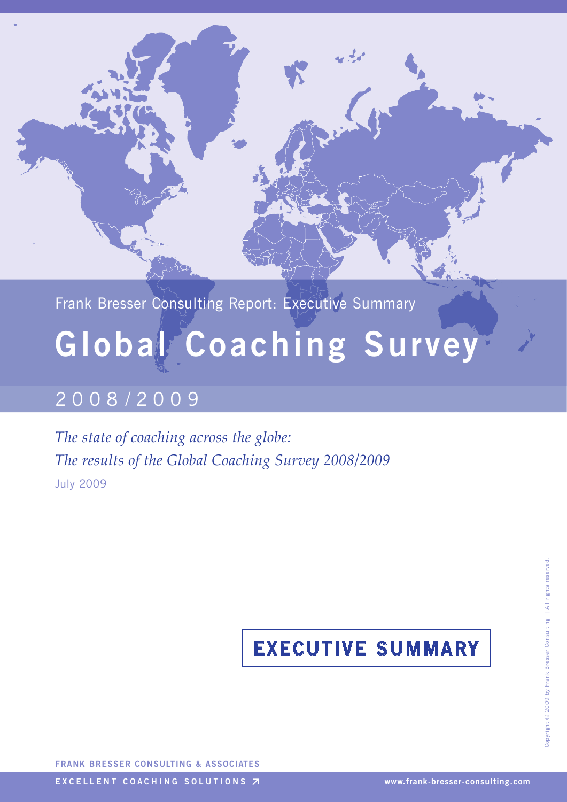

# Frank Bresser Consulting Report: Executive Summary Global Coaching Survey

# 2008/2009

*The state of coaching across the globe: The results of the Global Coaching Survey 2008/2009*  July 2009

# Executive Summary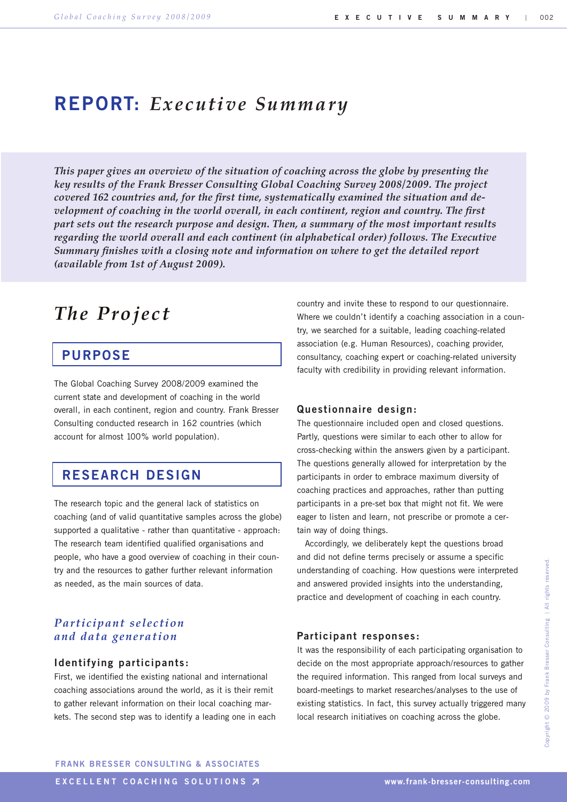# Report: *Executive Summary*

*This paper gives an overview of the situation of coaching across the globe by presenting the key results of the Frank Bresser Consulting Global Coaching Survey 2008/2009. The project covered 162 countries and, for the first time, systematically examined the situation and de‑ velopment of coaching in the world overall, in each continent, region and country. The first part sets out the research purpose and design. Then, a summary of the most important results regarding the world overall and each continent (in alphabetical order) follows. The Executive Summary finishes with a closing note and information on where to get the detailed report (available from 1st of August 2009).* 

# *The Project*

## Purpose

The Global Coaching Survey 2008/2009 examined the current state and development of coaching in the world overall, in each continent, region and country. Frank Bresser Consulting conducted research in 162 countries (which account for almost 100% world population).

# Research design

The research topic and the general lack of statistics on coaching (and of valid quantitative samples across the globe) supported a qualitative - rather than quantitative - approach: The research team identified qualified organisations and people, who have a good overview of coaching in their country and the resources to gather further relevant information as needed, as the main sources of data.

### *Participant selection and data generation*

### Identifying participants:

First, we identified the existing national and international coaching associations around the world, as it is their remit to gather relevant information on their local coaching markets. The second step was to identify a leading one in each country and invite these to respond to our questionnaire. Where we couldn't identify a coaching association in a country, we searched for a suitable, leading coaching-related association (e.g. Human Resources), coaching provider, consultancy, coaching expert or coaching-related university faculty with credibility in providing relevant information.

### Questionnaire design:

The questionnaire included open and closed questions. Partly, questions were similar to each other to allow for cross-checking within the answers given by a participant. The questions generally allowed for interpretation by the participants in order to embrace maximum diversity of coaching practices and approaches, rather than putting participants in a pre-set box that might not fit. We were eager to listen and learn, not prescribe or promote a certain way of doing things.

Accordingly, we deliberately kept the questions broad and did not define terms precisely or assume a specific understanding of coaching. How questions were interpreted and answered provided insights into the understanding, practice and development of coaching in each country.

### Participant responses:

It was the responsibility of each participating organisation to decide on the most appropriate approach/resources to gather the required information. This ranged from local surveys and board-meetings to market researches/analyses to the use of existing statistics. In fact, this survey actually triggered many local research initiatives on coaching across the globe.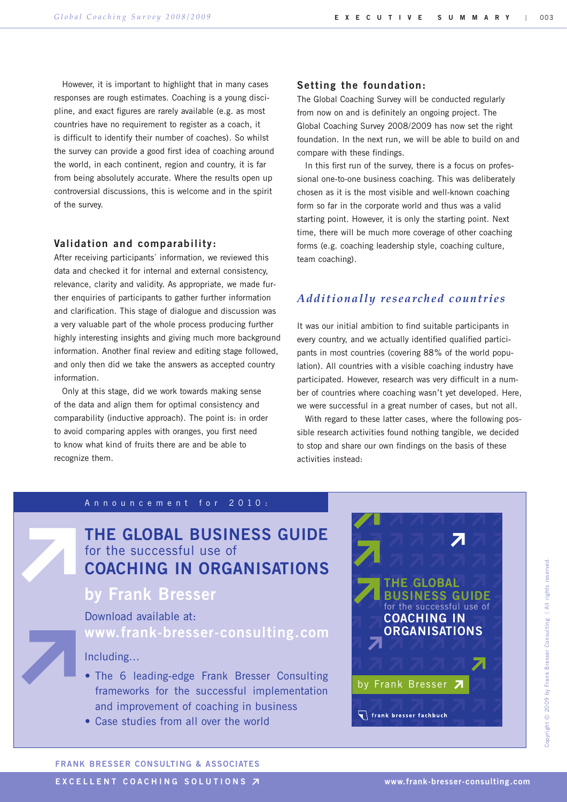However, it is important to highlight that in many cases responses are rough estimates. Coaching is a young discipline, and exact figures are rarely available (e.g. as most countries have no requirement to register as a coach, it is difficult to identify their number of coaches). So whilst the survey can provide a good first idea of coaching around the world, in each continent, region and country, it is far from being absolutely accurate. Where the results open up controversial discussions, this is welcome and in the spirit of the survey.

### Validation and comparability:

After receiving participants´ information, we reviewed this data and checked it for internal and external consistency, relevance, clarity and validity. As appropriate, we made further enquiries of participants to gather further information and clarification. This stage of dialogue and discussion was a very valuable part of the whole process producing further highly interesting insights and giving much more background information. Another final review and editing stage followed, and only then did we take the answers as accepted country information.

Only at this stage, did we work towards making sense of the data and align them for optimal consistency and comparability (inductive approach). The point is: in order to avoid comparing apples with oranges, you first need to know what kind of fruits there are and be able to recognize them.

### Setting the foundation:

The Global Coaching Survey will be conducted regularly from now on and is definitely an ongoing project. The Global Coaching Survey 2008/2009 has now set the right foundation. In the next run, we will be able to build on and compare with these findings.

In this first run of the survey, there is a focus on professional one-to-one business coaching. This was deliberately chosen as it is the most visible and well-known coaching form so far in the corporate world and thus was a valid starting point. However, it is only the starting point. Next time, there will be much more coverage of other coaching forms (e.g. coaching leadership style, coaching culture, team coaching).

### *Additionally researched countries*

It was our initial ambition to find suitable participants in every country, and we actually identified qualified participants in most countries (covering 88% of the world population). All countries with a visible coaching industry have participated. However, research was very difficult in a number of countries where coaching wasn't yet developed. Here, we were successful in a great number of cases, but not all.

With regard to these latter cases, where the following possible research activities found nothing tangible, we decided to stop and share our own findings on the basis of these activities instead:

### Announcement for 2010:

# The Global Business Guide for the successful use of Coaching In Organisations

# by Frank Bresser

Download available at: www.frank-bresser-consulting.com

### Including…

- The 6 leading-edge Frank Bresser Consulting frameworks for the successful implementation and improvement of coaching in business
- Case studies from all over the world

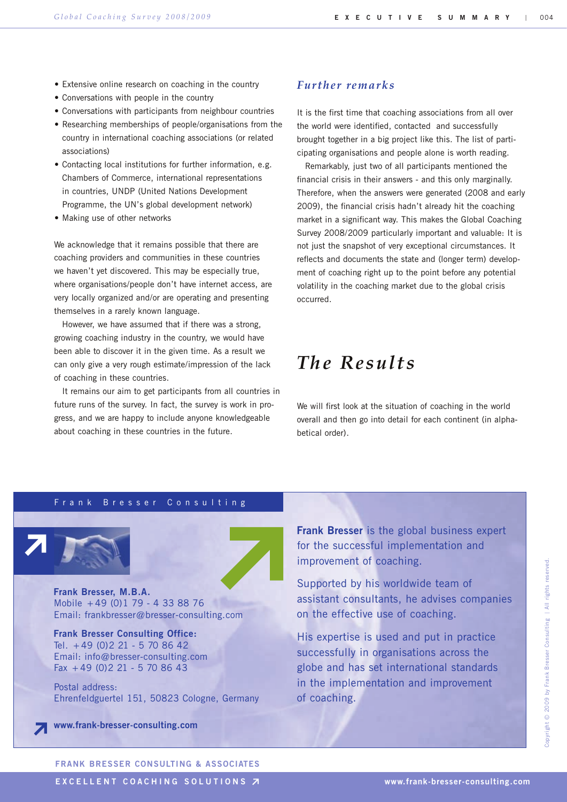- Extensive online research on coaching in the country
- Conversations with people in the country
- Conversations with participants from neighbour countries
- Researching memberships of people/organisations from the country in international coaching associations (or related associations)
- Contacting local institutions for further information, e.g. Chambers of Commerce, international representations in countries, UNDP (United Nations Development Programme, the UN's global development network)
- Making use of other networks

We acknowledge that it remains possible that there are coaching providers and communities in these countries we haven't yet discovered. This may be especially true, where organisations/people don't have internet access, are very locally organized and/or are operating and presenting themselves in a rarely known language.

However, we have assumed that if there was a strong, growing coaching industry in the country, we would have been able to discover it in the given time. As a result we can only give a very rough estimate/impression of the lack of coaching in these countries.

It remains our aim to get participants from all countries in future runs of the survey. In fact, the survey is work in progress, and we are happy to include anyone knowledgeable about coaching in these countries in the future.

## *Further remarks*

It is the first time that coaching associations from all over the world were identified, contacted and successfully brought together in a big project like this. The list of participating organisations and people alone is worth reading.

Remarkably, just two of all participants mentioned the financial crisis in their answers - and this only marginally. Therefore, when the answers were generated (2008 and early 2009), the financial crisis hadn't already hit the coaching market in a significant way. This makes the Global Coaching Survey 2008/2009 particularly important and valuable: It is not just the snapshot of very exceptional circumstances. It reflects and documents the state and (longer term) development of coaching right up to the point before any potential volatility in the coaching market due to the global crisis occurred.

# *The Results*

We will first look at the situation of coaching in the world overall and then go into detail for each continent (in alphabetical order).

### Frank Bresser Consulting



Frank Bresser, M.B.A. Mobile +49 (0)1 79 - 4 33 88 76 Email: frankbresser@bresser-consulting.com

Frank Bresser Consulting Office: Tel. +49 (0)2 21 - 5 70 86 42 Email: info@bresser-consulting.com Fax +49 (0)2 21 - 5 70 86 43

www.frank-bresser-consulting.com

Postal address: Ehrenfeldguertel 151, 50823 Cologne, Germany Frank Bresser is the global business expert for the successful implementation and improvement of coaching.

Supported by his worldwide team of assistant consultants, he advises companies on the effective use of coaching.

His expertise is used and put in practice successfully in organisations across the globe and has set international standards in the implementation and improvement of coaching.

FRANK BRESSER CONSULTING & ASSOCIATES

EXCELLENT COACHING SOLUTIONS 7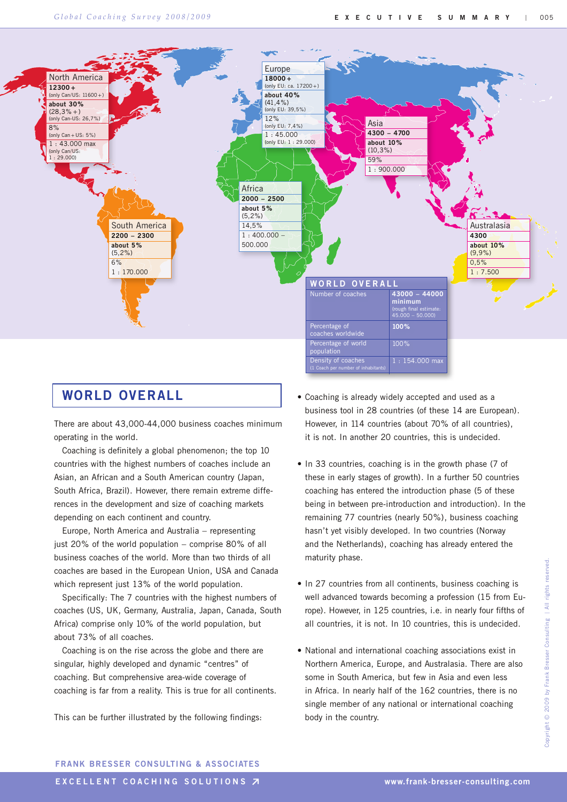

# WORLD OVERALL

There are about 43,000-44,000 business coaches minimum operating in the world.

Coaching is definitely a global phenomenon; the top 10 countries with the highest numbers of coaches include an Asian, an African and a South American country (Japan, South Africa, Brazil). However, there remain extreme differences in the development and size of coaching markets depending on each continent and country.

Europe, North America and Australia – representing just 20% of the world population – comprise 80% of all business coaches of the world. More than two thirds of all coaches are based in the European Union, USA and Canada which represent just 13% of the world population.

Specifically: The 7 countries with the highest numbers of coaches (US, UK, Germany, Australia, Japan, Canada, South Africa) comprise only 10% of the world population, but about 73% of all coaches.

Coaching is on the rise across the globe and there are singular, highly developed and dynamic "centres" of coaching. But comprehensive area-wide coverage of coaching is far from a reality. This is true for all continents.

This can be further illustrated by the following findings:

- Coaching is already widely accepted and used as a business tool in 28 countries (of these 14 are European). However, in 114 countries (about 70% of all countries), it is not. In another 20 countries, this is undecided.
- In 33 countries, coaching is in the growth phase (7 of these in early stages of growth). In a further 50 countries coaching has entered the introduction phase (5 of these being in between pre-introduction and introduction). In the remaining 77 countries (nearly 50%), business coaching hasn't yet visibly developed. In two countries (Norway and the Netherlands), coaching has already entered the maturity phase.
- In 27 countries from all continents, business coaching is well advanced towards becoming a profession (15 from Europe). However, in 125 countries, i.e. in nearly four fifths of all countries, it is not. In 10 countries, this is undecided.
- National and international coaching associations exist in Northern America, Europe, and Australasia. There are also some in South America, but few in Asia and even less in Africa. In nearly half of the 162 countries, there is no single member of any national or international coaching body in the country.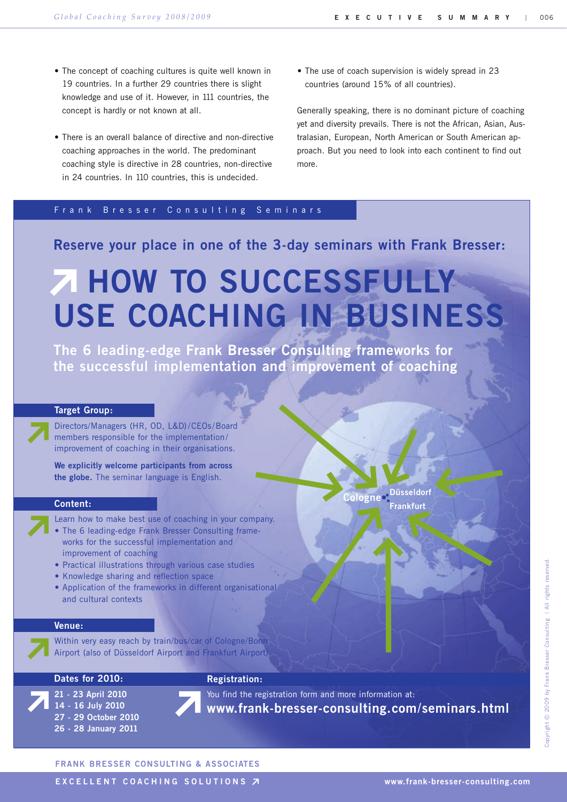- The concept of coaching cultures is quite well known in 19 countries. In a further 29 countries there is slight knowledge and use of it. However, in 111 countries, the concept is hardly or not known at all.
- There is an overall balance of directive and non-directive coaching approaches in the world. The predominant coaching style is directive in 28 countries, non-directive in 24 countries. In 110 countries, this is undecided.
- The use of coach supervision is widely spread in 23 countries (around 15% of all countries).

Generally speaking, there is no dominant picture of coaching yet and diversity prevails. There is not the African, Asian, Australasian, European, North American or South American approach. But you need to look into each continent to find out more.

### Frank Bresser Consulting Seminars

# Reserve your place in one of the 3-day seminars with Frank Bresser:

# **Z HOW TO SUCCESSFULLY** use Coaching in business

The 6 leading-edge Frank Bresser Consulting frameworks for the successful implementation and improvement of coaching

### Target Group:

Directors/Managers (HR, OD, L&D)/CEOs/Board members responsible for the implementation/ improvement of coaching in their organisations.

We explicitly welcome participants from across the globe. The seminar language is English.

### Content:

Learn how to make best use of coaching in your company.

- The 6 leading-edge Frank Bresser Consulting frameworks for the successful implementation and improvement of coaching
- Practical illustrations through various case studies
- Knowledge sharing and reflection space
- Application of the frameworks in different organisational and cultural contexts

#### Venue:

Within very easy reach by train/bus/car of Cologne/Bonn Airport (also of Düsseldorf Airport and Frankfurt Airport)

#### Dates for 2010:

21 - 23 April 2010 14 - 16 July 2010 27 - 29 October 2010 26 - 28 January 2011



Registration:

You find the registration form and more information at: www.frank-bresser-consulting.com/seminars.html

Cologne o Düsseldorf **Frankfurt** 

### FRANK BRESSER CONSULTING & ASSOCIATES

EXCELLENT COACHING SOLUTIONS 7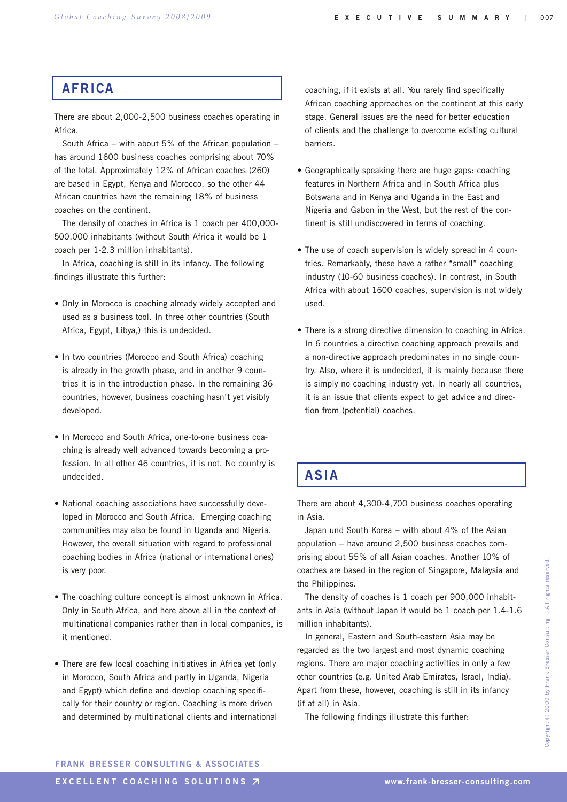# **AFRICA**

There are about 2,000-2,500 business coaches operating in Africa.

South Africa – with about 5% of the African population – has around 1600 business coaches comprising about 70% of the total. Approximately 12% of African coaches (260) are based in Egypt, Kenya and Morocco, so the other 44 African countries have the remaining 18% of business coaches on the continent.

The density of coaches in Africa is 1 coach per 400,000- 500,000 inhabitants (without South Africa it would be 1 coach per 1-2.3 million inhabitants).

In Africa, coaching is still in its infancy. The following findings illustrate this further:

- Only in Morocco is coaching already widely accepted and used as a business tool. In three other countries (South Africa, Egypt, Libya,) this is undecided.
- In two countries (Morocco and South Africa) coaching is already in the growth phase, and in another 9 countries it is in the introduction phase. In the remaining 36 countries, however, business coaching hasn't yet visibly developed.
- In Morocco and South Africa, one-to-one business coaching is already well advanced towards becoming a profession. In all other 46 countries, it is not. No country is undecided.
- National coaching associations have successfully developed in Morocco and South Africa. Emerging coaching communities may also be found in Uganda and Nigeria. However, the overall situation with regard to professional coaching bodies in Africa (national or international ones) is very poor.
- The coaching culture concept is almost unknown in Africa. Only in South Africa, and here above all in the context of multinational companies rather than in local companies, is it mentioned.
- There are few local coaching initiatives in Africa yet (only in Morocco, South Africa and partly in Uganda, Nigeria and Egypt) which define and develop coaching specifically for their country or region. Coaching is more driven and determined by multinational clients and international

coaching, if it exists at all. You rarely find specifically African coaching approaches on the continent at this early stage. General issues are the need for better education of clients and the challenge to overcome existing cultural barriers.

- Geographically speaking there are huge gaps: coaching features in Northern Africa and in South Africa plus Botswana and in Kenya and Uganda in the East and Nigeria and Gabon in the West, but the rest of the continent is still undiscovered in terms of coaching.
- The use of coach supervision is widely spread in 4 countries. Remarkably, these have a rather "small" coaching industry (10-60 business coaches). In contrast, in South Africa with about 1600 coaches, supervision is not widely used.
- There is a strong directive dimension to coaching in Africa. In 6 countries a directive coaching approach prevails and a non-directive approach predominates in no single country. Also, where it is undecided, it is mainly because there is simply no coaching industry yet. In nearly all countries, it is an issue that clients expect to get advice and direction from (potential) coaches.

## **ASIA**

There are about 4,300-4,700 business coaches operating in Asia.

Japan und South Korea – with about 4% of the Asian population – have around 2,500 business coaches comprising about 55% of all Asian coaches. Another 10% of coaches are based in the region of Singapore, Malaysia and the Philippines.

The density of coaches is 1 coach per 900,000 inhabitants in Asia (without Japan it would be 1 coach per 1.4-1.6 million inhabitants).

In general, Eastern and South-eastern Asia may be regarded as the two largest and most dynamic coaching regions. There are major coaching activities in only a few other countries (e.g. United Arab Emirates, Israel, India). Apart from these, however, coaching is still in its infancy (if at all) in Asia.

The following findings illustrate this further:

### FRANK BRESSER CONSULTING & ASSOCIATES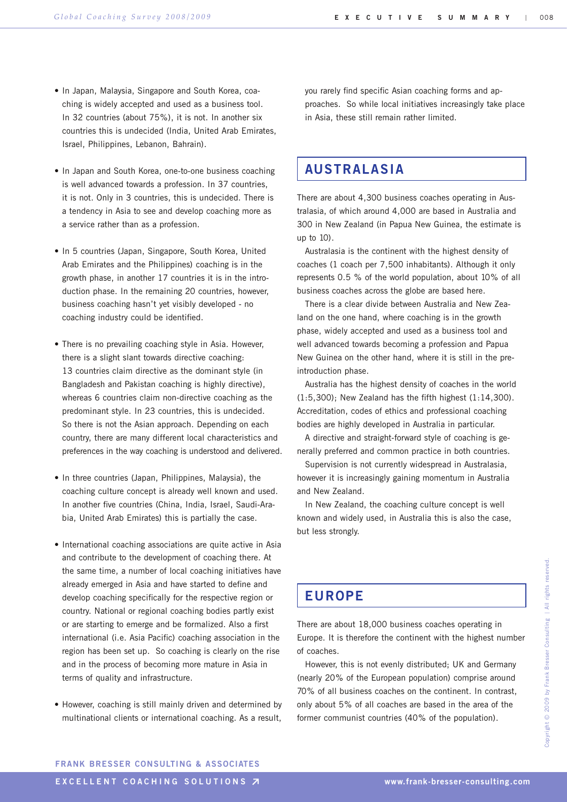- In Japan, Malaysia, Singapore and South Korea, coaching is widely accepted and used as a business tool. In 32 countries (about 75%), it is not. In another six countries this is undecided (India, United Arab Emirates, Israel, Philippines, Lebanon, Bahrain).
- In Japan and South Korea, one-to-one business coaching is well advanced towards a profession. In 37 countries, it is not. Only in 3 countries, this is undecided. There is a tendency in Asia to see and develop coaching more as a service rather than as a profession.
- In 5 countries (Japan, Singapore, South Korea, United Arab Emirates and the Philippines) coaching is in the growth phase, in another 17 countries it is in the introduction phase. In the remaining 20 countries, however, business coaching hasn't yet visibly developed - no coaching industry could be identified.
- There is no prevailing coaching style in Asia. However, there is a slight slant towards directive coaching: 13 countries claim directive as the dominant style (in Bangladesh and Pakistan coaching is highly directive), whereas 6 countries claim non-directive coaching as the predominant style. In 23 countries, this is undecided. So there is not the Asian approach. Depending on each country, there are many different local characteristics and preferences in the way coaching is understood and delivered.
- In three countries (Japan, Philippines, Malaysia), the coaching culture concept is already well known and used. In another five countries (China, India, Israel, Saudi-Arabia, United Arab Emirates) this is partially the case.
- International coaching associations are quite active in Asia and contribute to the development of coaching there. At the same time, a number of local coaching initiatives have already emerged in Asia and have started to define and develop coaching specifically for the respective region or country. National or regional coaching bodies partly exist or are starting to emerge and be formalized. Also a first international (i.e. Asia Pacific) coaching association in the region has been set up. So coaching is clearly on the rise and in the process of becoming more mature in Asia in terms of quality and infrastructure.
- However, coaching is still mainly driven and determined by multinational clients or international coaching. As a result,

you rarely find specific Asian coaching forms and approaches. So while local initiatives increasingly take place in Asia, these still remain rather limited.

# Australasia

There are about 4,300 business coaches operating in Australasia, of which around 4,000 are based in Australia and 300 in New Zealand (in Papua New Guinea, the estimate is up to 10).

Australasia is the continent with the highest density of coaches (1 coach per 7,500 inhabitants). Although it only represents 0.5 % of the world population, about 10% of all business coaches across the globe are based here.

There is a clear divide between Australia and New Zealand on the one hand, where coaching is in the growth phase, widely accepted and used as a business tool and well advanced towards becoming a profession and Papua New Guinea on the other hand, where it is still in the preintroduction phase.

Australia has the highest density of coaches in the world (1:5,300); New Zealand has the fifth highest (1:14,300). Accreditation, codes of ethics and professional coaching bodies are highly developed in Australia in particular.

A directive and straight-forward style of coaching is generally preferred and common practice in both countries.

Supervision is not currently widespread in Australasia, however it is increasingly gaining momentum in Australia and New Zealand.

In New Zealand, the coaching culture concept is well known and widely used, in Australia this is also the case, but less strongly.

# **EUROPE**

There are about 18,000 business coaches operating in Europe. It is therefore the continent with the highest number of coaches.

However, this is not evenly distributed; UK and Germany (nearly 20% of the European population) comprise around 70% of all business coaches on the continent. In contrast, only about 5% of all coaches are based in the area of the former communist countries (40% of the population).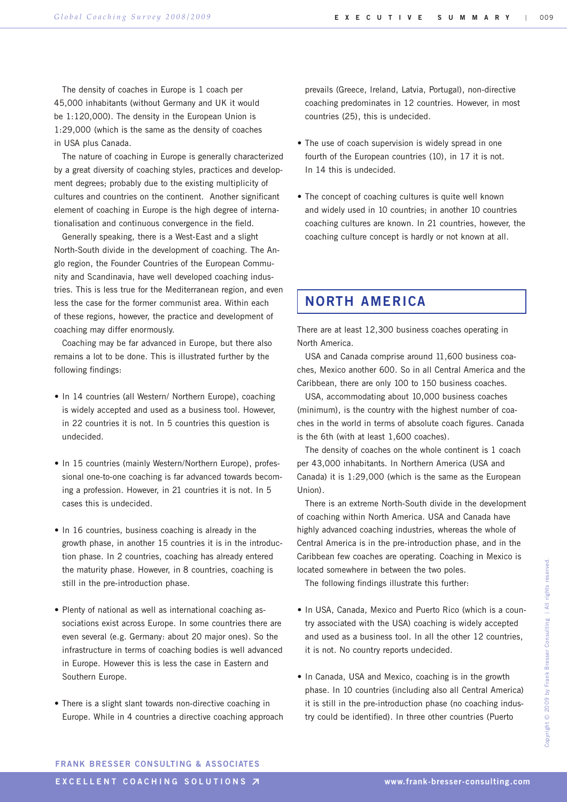The density of coaches in Europe is 1 coach per 45,000 inhabitants (without Germany and UK it would be 1:120,000). The density in the European Union is 1:29,000 (which is the same as the density of coaches in USA plus Canada.

The nature of coaching in Europe is generally characterized by a great diversity of coaching styles, practices and development degrees; probably due to the existing multiplicity of cultures and countries on the continent. Another significant element of coaching in Europe is the high degree of internationalisation and continuous convergence in the field.

Generally speaking, there is a West-East and a slight North-South divide in the development of coaching. The Anglo region, the Founder Countries of the European Community and Scandinavia, have well developed coaching industries. This is less true for the Mediterranean region, and even less the case for the former communist area. Within each of these regions, however, the practice and development of coaching may differ enormously.

Coaching may be far advanced in Europe, but there also remains a lot to be done. This is illustrated further by the following findings:

- In 14 countries (all Western/ Northern Europe), coaching is widely accepted and used as a business tool. However, in 22 countries it is not. In 5 countries this question is undecided.
- In 15 countries (mainly Western/Northern Europe), professional one-to-one coaching is far advanced towards becoming a profession. However, in 21 countries it is not. In 5 cases this is undecided.
- In 16 countries, business coaching is already in the growth phase, in another 15 countries it is in the introduction phase. In 2 countries, coaching has already entered the maturity phase. However, in 8 countries, coaching is still in the pre-introduction phase.
- Plenty of national as well as international coaching associations exist across Europe. In some countries there are even several (e.g. Germany: about 20 major ones). So the infrastructure in terms of coaching bodies is well advanced in Europe. However this is less the case in Eastern and Southern Europe.
- There is a slight slant towards non-directive coaching in Europe. While in 4 countries a directive coaching approach

prevails (Greece, Ireland, Latvia, Portugal), non-directive coaching predominates in 12 countries. However, in most countries (25), this is undecided.

- The use of coach supervision is widely spread in one fourth of the European countries (10), in 17 it is not. In 14 this is undecided.
- The concept of coaching cultures is quite well known and widely used in 10 countries; in another 10 countries coaching cultures are known. In 21 countries, however, the coaching culture concept is hardly or not known at all.

# North America

There are at least 12,300 business coaches operating in North America.

USA and Canada comprise around 11,600 business coaches, Mexico another 600. So in all Central America and the Caribbean, there are only 100 to 150 business coaches.

USA, accommodating about 10,000 business coaches (minimum), is the country with the highest number of coaches in the world in terms of absolute coach figures. Canada is the 6th (with at least 1,600 coaches).

The density of coaches on the whole continent is 1 coach per 43,000 inhabitants. In Northern America (USA and Canada) it is 1:29,000 (which is the same as the European Union).

There is an extreme North-South divide in the development of coaching within North America. USA and Canada have highly advanced coaching industries, whereas the whole of Central America is in the pre-introduction phase, and in the Caribbean few coaches are operating. Coaching in Mexico is located somewhere in between the two poles.

The following findings illustrate this further:

- In USA, Canada, Mexico and Puerto Rico (which is a country associated with the USA) coaching is widely accepted and used as a business tool. In all the other 12 countries, it is not. No country reports undecided.
- In Canada, USA and Mexico, coaching is in the growth phase. In 10 countries (including also all Central America) it is still in the pre-introduction phase (no coaching industry could be identified). In three other countries (Puerto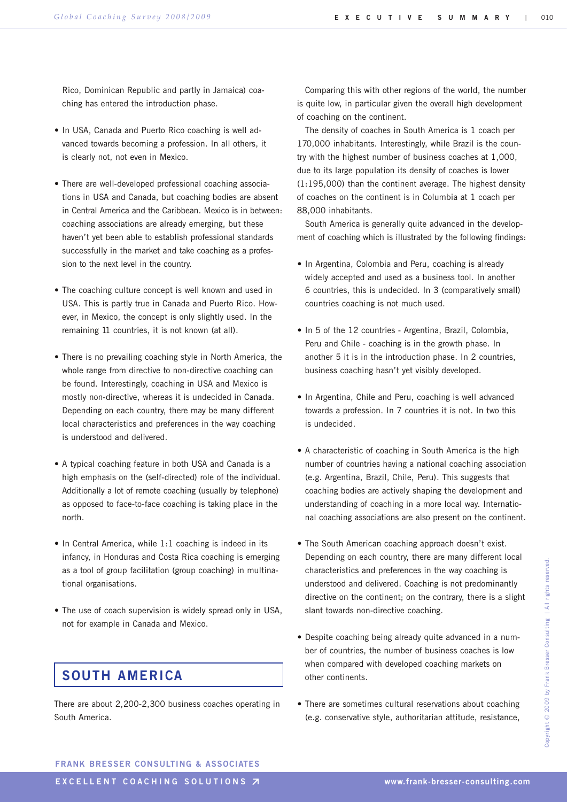Rico, Dominican Republic and partly in Jamaica) coaching has entered the introduction phase.

- In USA, Canada and Puerto Rico coaching is well advanced towards becoming a profession. In all others, it is clearly not, not even in Mexico.
- There are well-developed professional coaching associations in USA and Canada, but coaching bodies are absent in Central America and the Caribbean. Mexico is in between: coaching associations are already emerging, but these haven't yet been able to establish professional standards successfully in the market and take coaching as a profession to the next level in the country.
- The coaching culture concept is well known and used in USA. This is partly true in Canada and Puerto Rico. However, in Mexico, the concept is only slightly used. In the remaining 11 countries, it is not known (at all).
- There is no prevailing coaching style in North America, the whole range from directive to non-directive coaching can be found. Interestingly, coaching in USA and Mexico is mostly non-directive, whereas it is undecided in Canada. Depending on each country, there may be many different local characteristics and preferences in the way coaching is understood and delivered.
- A typical coaching feature in both USA and Canada is a high emphasis on the (self-directed) role of the individual. Additionally a lot of remote coaching (usually by telephone) as opposed to face-to-face coaching is taking place in the north.
- In Central America, while 1:1 coaching is indeed in its infancy, in Honduras and Costa Rica coaching is emerging as a tool of group facilitation (group coaching) in multinational organisations.
- The use of coach supervision is widely spread only in USA, not for example in Canada and Mexico.

# South America

There are about 2,200-2,300 business coaches operating in South America.

Comparing this with other regions of the world, the number is quite low, in particular given the overall high development of coaching on the continent.

The density of coaches in South America is 1 coach per 170,000 inhabitants. Interestingly, while Brazil is the country with the highest number of business coaches at 1,000, due to its large population its density of coaches is lower (1:195,000) than the continent average. The highest density of coaches on the continent is in Columbia at 1 coach per 88,000 inhabitants.

South America is generally quite advanced in the development of coaching which is illustrated by the following findings:

- In Argentina, Colombia and Peru, coaching is already widely accepted and used as a business tool. In another 6 countries, this is undecided. In 3 (comparatively small) countries coaching is not much used.
- In 5 of the 12 countries Argentina, Brazil, Colombia, Peru and Chile - coaching is in the growth phase. In another 5 it is in the introduction phase. In 2 countries, business coaching hasn't yet visibly developed.
- In Argentina, Chile and Peru, coaching is well advanced towards a profession. In 7 countries it is not. In two this is undecided.
- A characteristic of coaching in South America is the high number of countries having a national coaching association (e.g. Argentina, Brazil, Chile, Peru). This suggests that coaching bodies are actively shaping the development and understanding of coaching in a more local way. International coaching associations are also present on the continent.
- The South American coaching approach doesn't exist. Depending on each country, there are many different local characteristics and preferences in the way coaching is understood and delivered. Coaching is not predominantly directive on the continent; on the contrary, there is a slight slant towards non-directive coaching.
- Despite coaching being already quite advanced in a number of countries, the number of business coaches is low when compared with developed coaching markets on other continents.
- There are sometimes cultural reservations about coaching (e.g. conservative style, authoritarian attitude, resistance,

### FRANK BRESSER CONSULTING & ASSOCIATES